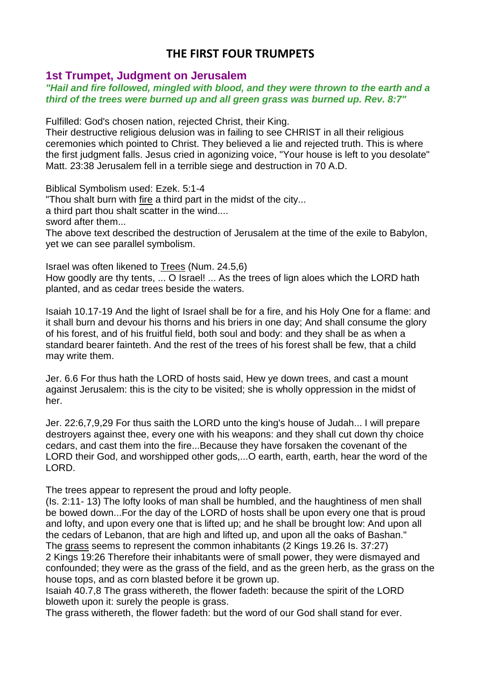# **THE FIRST FOUR TRUMPETS**

## **1st Trumpet, Judgment on Jerusalem**

### *"Hail and fire followed, mingled with blood, and they were thrown to the earth and a third of the trees were burned up and all green grass was burned up. Rev. 8:7"*

Fulfilled: God's chosen nation, rejected Christ, their King.

Their destructive religious delusion was in failing to see CHRIST in all their religious ceremonies which pointed to Christ. They believed a lie and rejected truth. This is where the first judgment falls. Jesus cried in agonizing voice, "Your house is left to you desolate" Matt. 23:38 Jerusalem fell in a terrible siege and destruction in 70 A.D.

Biblical Symbolism used: Ezek. 5:1-4

"Thou shalt burn with fire a third part in the midst of the city...

a third part thou shalt scatter in the wind....

sword after them...

The above text described the destruction of Jerusalem at the time of the exile to Babylon, yet we can see parallel symbolism.

Israel was often likened to Trees (Num. 24.5,6) How goodly are thy tents, ... O Israel! ... As the trees of lign aloes which the LORD hath planted, and as cedar trees beside the waters.

Isaiah 10.17-19 And the light of Israel shall be for a fire, and his Holy One for a flame: and it shall burn and devour his thorns and his briers in one day; And shall consume the glory of his forest, and of his fruitful field, both soul and body: and they shall be as when a standard bearer fainteth. And the rest of the trees of his forest shall be few, that a child may write them.

Jer. 6.6 For thus hath the LORD of hosts said, Hew ye down trees, and cast a mount against Jerusalem: this is the city to be visited; she is wholly oppression in the midst of her.

Jer. 22:6,7,9,29 For thus saith the LORD unto the king's house of Judah... I will prepare destroyers against thee, every one with his weapons: and they shall cut down thy choice cedars, and cast them into the fire...Because they have forsaken the covenant of the LORD their God, and worshipped other gods,...O earth, earth, earth, hear the word of the LORD.

The trees appear to represent the proud and lofty people.

(Is. 2:11- 13) The lofty looks of man shall be humbled, and the haughtiness of men shall be bowed down...For the day of the LORD of hosts shall be upon every one that is proud and lofty, and upon every one that is lifted up; and he shall be brought low: And upon all the cedars of Lebanon, that are high and lifted up, and upon all the oaks of Bashan." The grass seems to represent the common inhabitants (2 Kings 19.26 Is. 37:27) 2 Kings 19:26 Therefore their inhabitants were of small power, they were dismayed and confounded; they were as the grass of the field, and as the green herb, as the grass on the

house tops, and as corn blasted before it be grown up.

Isaiah 40.7,8 The grass withereth, the flower fadeth: because the spirit of the LORD bloweth upon it: surely the people is grass.

The grass withereth, the flower fadeth: but the word of our God shall stand for ever.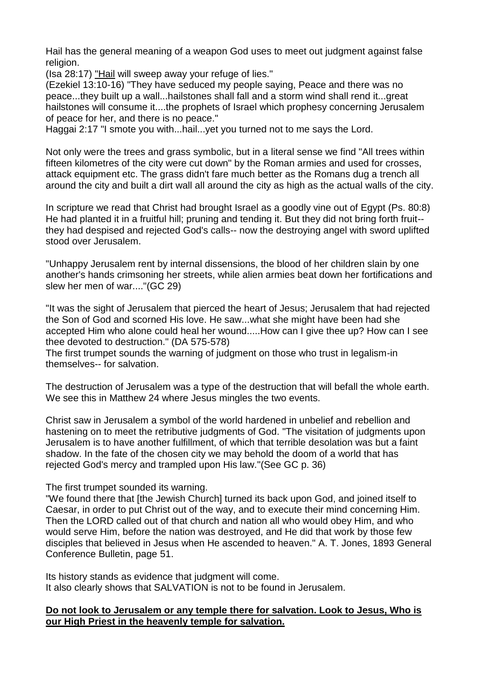Hail has the general meaning of a weapon God uses to meet out judgment against false religion.

(Isa 28:17) "Hail will sweep away your refuge of lies."

(Ezekiel 13:10-16) "They have seduced my people saying, Peace and there was no peace...they built up a wall...hailstones shall fall and a storm wind shall rend it...great hailstones will consume it....the prophets of Israel which prophesy concerning Jerusalem of peace for her, and there is no peace."

Haggai 2:17 "I smote you with...hail...yet you turned not to me says the Lord.

Not only were the trees and grass symbolic, but in a literal sense we find "All trees within fifteen kilometres of the city were cut down" by the Roman armies and used for crosses, attack equipment etc. The grass didn't fare much better as the Romans dug a trench all around the city and built a dirt wall all around the city as high as the actual walls of the city.

In scripture we read that Christ had brought Israel as a goodly vine out of Egypt (Ps. 80:8) He had planted it in a fruitful hill; pruning and tending it. But they did not bring forth fruit- they had despised and rejected God's calls-- now the destroying angel with sword uplifted stood over Jerusalem.

"Unhappy Jerusalem rent by internal dissensions, the blood of her children slain by one another's hands crimsoning her streets, while alien armies beat down her fortifications and slew her men of war...."(GC 29)

"It was the sight of Jerusalem that pierced the heart of Jesus; Jerusalem that had rejected the Son of God and scorned His love. He saw...what she might have been had she accepted Him who alone could heal her wound.....How can I give thee up? How can I see thee devoted to destruction." (DA 575-578)

The first trumpet sounds the warning of judgment on those who trust in legalism-in themselves-- for salvation.

The destruction of Jerusalem was a type of the destruction that will befall the whole earth. We see this in Matthew 24 where Jesus mingles the two events.

Christ saw in Jerusalem a symbol of the world hardened in unbelief and rebellion and hastening on to meet the retributive judgments of God. "The visitation of judgments upon Jerusalem is to have another fulfillment, of which that terrible desolation was but a faint shadow. In the fate of the chosen city we may behold the doom of a world that has rejected God's mercy and trampled upon His law."(See GC p. 36)

The first trumpet sounded its warning.

"We found there that [the Jewish Church] turned its back upon God, and joined itself to Caesar, in order to put Christ out of the way, and to execute their mind concerning Him. Then the LORD called out of that church and nation all who would obey Him, and who would serve Him, before the nation was destroyed, and He did that work by those few disciples that believed in Jesus when He ascended to heaven." A. T. Jones, 1893 General Conference Bulletin, page 51.

Its history stands as evidence that judgment will come. It also clearly shows that SALVATION is not to be found in Jerusalem.

## **Do not look to Jerusalem or any temple there for salvation. Look to Jesus, Who is our High Priest in the heavenly temple for salvation.**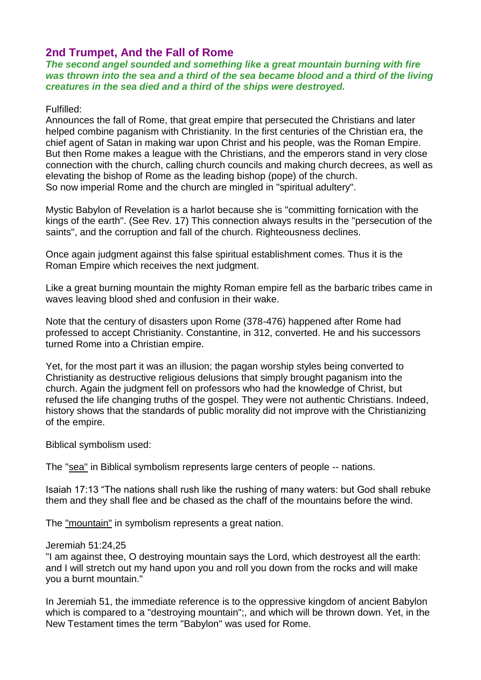## **2nd Trumpet, And the Fall of Rome**

*The second angel sounded and something like a great mountain burning with fire*  was thrown into the sea and a third of the sea became blood and a third of the living *creatures in the sea died and a third of the ships were destroyed.*

#### Fulfilled:

Announces the fall of Rome, that great empire that persecuted the Christians and later helped combine paganism with Christianity. In the first centuries of the Christian era, the chief agent of Satan in making war upon Christ and his people, was the Roman Empire. But then Rome makes a league with the Christians, and the emperors stand in very close connection with the church, calling church councils and making church decrees, as well as elevating the bishop of Rome as the leading bishop (pope) of the church. So now imperial Rome and the church are mingled in "spiritual adultery".

Mystic Babylon of Revelation is a harlot because she is "committing fornication with the kings of the earth". (See Rev. 17) This connection always results in the "persecution of the saints", and the corruption and fall of the church. Righteousness declines.

Once again judgment against this false spiritual establishment comes. Thus it is the Roman Empire which receives the next judgment.

Like a great burning mountain the mighty Roman empire fell as the barbaric tribes came in waves leaving blood shed and confusion in their wake.

Note that the century of disasters upon Rome (378-476) happened after Rome had professed to accept Christianity. Constantine, in 312, converted. He and his successors turned Rome into a Christian empire.

Yet, for the most part it was an illusion; the pagan worship styles being converted to Christianity as destructive religious delusions that simply brought paganism into the church. Again the judgment fell on professors who had the knowledge of Christ, but refused the life changing truths of the gospel. They were not authentic Christians. Indeed, history shows that the standards of public morality did not improve with the Christianizing of the empire.

Biblical symbolism used:

The "sea" in Biblical symbolism represents large centers of people -- nations.

Isaiah 17:13 "The nations shall rush like the rushing of many waters: but God shall rebuke them and they shall flee and be chased as the chaff of the mountains before the wind.

The "mountain" in symbolism represents a great nation.

#### Jeremiah 51:24,25

"I am against thee, O destroying mountain says the Lord, which destroyest all the earth: and I will stretch out my hand upon you and roll you down from the rocks and will make you a burnt mountain."

In Jeremiah 51, the immediate reference is to the oppressive kingdom of ancient Babylon which is compared to a "destroying mountain";, and which will be thrown down. Yet, in the New Testament times the term "Babylon" was used for Rome.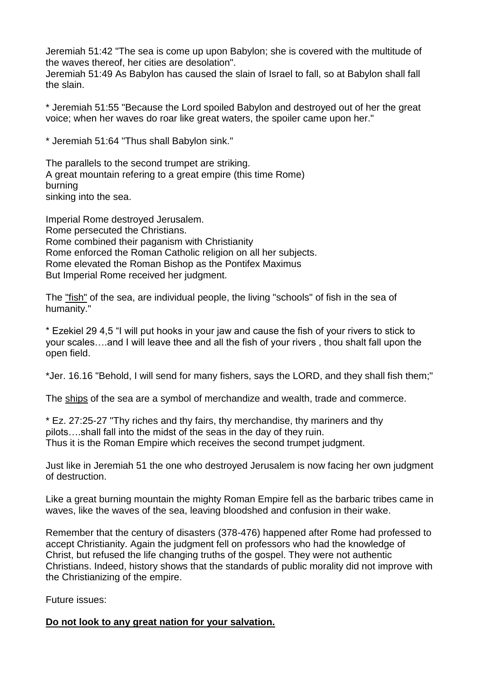Jeremiah 51:42 "The sea is come up upon Babylon; she is covered with the multitude of the waves thereof, her cities are desolation".

Jeremiah 51:49 As Babylon has caused the slain of Israel to fall, so at Babylon shall fall the slain.

\* Jeremiah 51:55 "Because the Lord spoiled Babylon and destroyed out of her the great voice; when her waves do roar like great waters, the spoiler came upon her."

\* Jeremiah 51:64 "Thus shall Babylon sink."

The parallels to the second trumpet are striking. A great mountain refering to a great empire (this time Rome) burning sinking into the sea.

Imperial Rome destroyed Jerusalem. Rome persecuted the Christians. Rome combined their paganism with Christianity Rome enforced the Roman Catholic religion on all her subjects. Rome elevated the Roman Bishop as the Pontifex Maximus But Imperial Rome received her judgment.

The "fish" of the sea, are individual people, the living "schools" of fish in the sea of humanity."

\* Ezekiel 29 4,5 "I will put hooks in your jaw and cause the fish of your rivers to stick to your scales….and I will leave thee and all the fish of your rivers , thou shalt fall upon the open field.

\*Jer. 16.16 "Behold, I will send for many fishers, says the LORD, and they shall fish them;"

The ships of the sea are a symbol of merchandize and wealth, trade and commerce.

\* Ez. 27:25-27 "Thy riches and thy fairs, thy merchandise, thy mariners and thy pilots….shall fall into the midst of the seas in the day of they ruin. Thus it is the Roman Empire which receives the second trumpet judgment.

Just like in Jeremiah 51 the one who destroyed Jerusalem is now facing her own judgment of destruction.

Like a great burning mountain the mighty Roman Empire fell as the barbaric tribes came in waves, like the waves of the sea, leaving bloodshed and confusion in their wake.

Remember that the century of disasters (378-476) happened after Rome had professed to accept Christianity. Again the judgment fell on professors who had the knowledge of Christ, but refused the life changing truths of the gospel. They were not authentic Christians. Indeed, history shows that the standards of public morality did not improve with the Christianizing of the empire.

Future issues:

**Do not look to any great nation for your salvation.**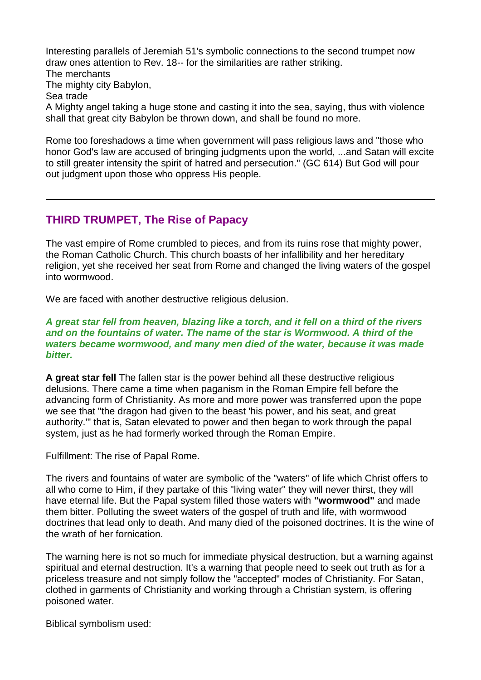Interesting parallels of Jeremiah 51's symbolic connections to the second trumpet now draw ones attention to Rev. 18-- for the similarities are rather striking. The merchants The mighty city Babylon, Sea trade A Mighty angel taking a huge stone and casting it into the sea, saying, thus with violence shall that great city Babylon be thrown down, and shall be found no more.

Rome too foreshadows a time when government will pass religious laws and "those who honor God's law are accused of bringing judgments upon the world, ...and Satan will excite to still greater intensity the spirit of hatred and persecution." (GC 614) But God will pour out judgment upon those who oppress His people.

## **THIRD TRUMPET, The Rise of Papacy**

The vast empire of Rome crumbled to pieces, and from its ruins rose that mighty power, the Roman Catholic Church. This church boasts of her infallibility and her hereditary religion, yet she received her seat from Rome and changed the living waters of the gospel into wormwood.

We are faced with another destructive religious delusion.

*A great star fell from heaven, blazing like a torch, and it fell on a third of the rivers*  and on the fountains of water. The name of the star is Wormwood. A third of the *waters became wormwood, and many men died of the water, because it was made bitter.*

**A great star fell** The fallen star is the power behind all these destructive religious delusions. There came a time when paganism in the Roman Empire fell before the advancing form of Christianity. As more and more power was transferred upon the pope we see that "the dragon had given to the beast 'his power, and his seat, and great authority.'" that is, Satan elevated to power and then began to work through the papal system, just as he had formerly worked through the Roman Empire.

Fulfillment: The rise of Papal Rome.

The rivers and fountains of water are symbolic of the "waters" of life which Christ offers to all who come to Him, if they partake of this "living water" they will never thirst, they will have eternal life. But the Papal system filled those waters with **"wormwood"** and made them bitter. Polluting the sweet waters of the gospel of truth and life, with wormwood doctrines that lead only to death. And many died of the poisoned doctrines. It is the wine of the wrath of her fornication.

The warning here is not so much for immediate physical destruction, but a warning against spiritual and eternal destruction. It's a warning that people need to seek out truth as for a priceless treasure and not simply follow the "accepted" modes of Christianity. For Satan, clothed in garments of Christianity and working through a Christian system, is offering poisoned water.

Biblical symbolism used: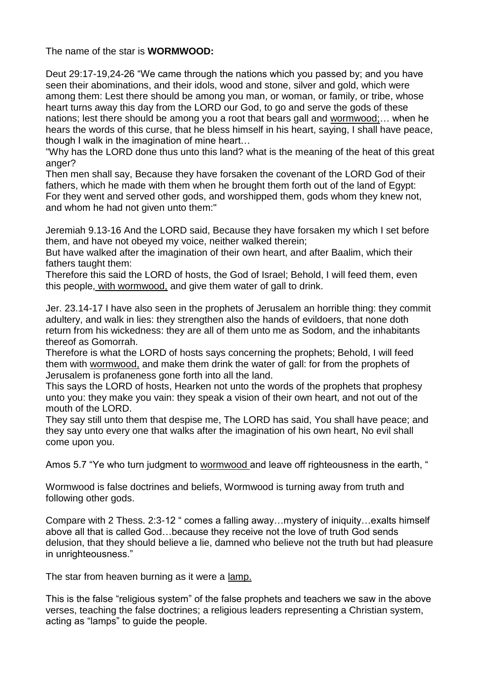The name of the star is **WORMWOOD:**

Deut 29:17-19,24-26 "We came through the nations which you passed by; and you have seen their abominations, and their idols, wood and stone, silver and gold, which were among them: Lest there should be among you man, or woman, or family, or tribe, whose heart turns away this day from the LORD our God, to go and serve the gods of these nations; lest there should be among you a root that bears gall and wormwood;… when he hears the words of this curse, that he bless himself in his heart, saying, I shall have peace, though I walk in the imagination of mine heart…

"Why has the LORD done thus unto this land? what is the meaning of the heat of this great anger?

Then men shall say, Because they have forsaken the covenant of the LORD God of their fathers, which he made with them when he brought them forth out of the land of Egypt: For they went and served other gods, and worshipped them, gods whom they knew not, and whom he had not given unto them:"

Jeremiah 9.13-16 And the LORD said, Because they have forsaken my which I set before them, and have not obeyed my voice, neither walked therein;

But have walked after the imagination of their own heart, and after Baalim, which their fathers taught them:

Therefore this said the LORD of hosts, the God of Israel; Behold, I will feed them, even this people, with wormwood, and give them water of gall to drink.

Jer. 23.14-17 I have also seen in the prophets of Jerusalem an horrible thing: they commit adultery, and walk in lies: they strengthen also the hands of evildoers, that none doth return from his wickedness: they are all of them unto me as Sodom, and the inhabitants thereof as Gomorrah.

Therefore is what the LORD of hosts says concerning the prophets; Behold, I will feed them with wormwood, and make them drink the water of gall: for from the prophets of Jerusalem is profaneness gone forth into all the land.

This says the LORD of hosts, Hearken not unto the words of the prophets that prophesy unto you: they make you vain: they speak a vision of their own heart, and not out of the mouth of the LORD.

They say still unto them that despise me, The LORD has said, You shall have peace; and they say unto every one that walks after the imagination of his own heart, No evil shall come upon you.

Amos 5.7 "Ye who turn judgment to wormwood and leave off righteousness in the earth, "

Wormwood is false doctrines and beliefs, Wormwood is turning away from truth and following other gods.

Compare with 2 Thess. 2:3-12 " comes a falling away…mystery of iniquity…exalts himself above all that is called God…because they receive not the love of truth God sends delusion, that they should believe a lie, damned who believe not the truth but had pleasure in unrighteousness."

The star from heaven burning as it were a lamp.

This is the false "religious system" of the false prophets and teachers we saw in the above verses, teaching the false doctrines; a religious leaders representing a Christian system, acting as "lamps" to guide the people.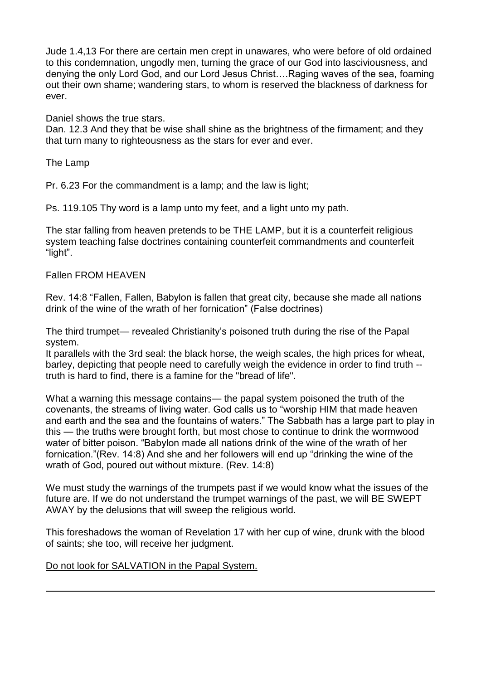Jude 1.4,13 For there are certain men crept in unawares, who were before of old ordained to this condemnation, ungodly men, turning the grace of our God into lasciviousness, and denying the only Lord God, and our Lord Jesus Christ….Raging waves of the sea, foaming out their own shame; wandering stars, to whom is reserved the blackness of darkness for ever.

Daniel shows the true stars.

Dan. 12.3 And they that be wise shall shine as the brightness of the firmament; and they that turn many to righteousness as the stars for ever and ever.

The Lamp

Pr. 6.23 For the commandment is a lamp; and the law is light;

Ps. 119.105 Thy word is a lamp unto my feet, and a light unto my path.

The star falling from heaven pretends to be THE LAMP, but it is a counterfeit religious system teaching false doctrines containing counterfeit commandments and counterfeit "light".

#### Fallen FROM HEAVEN

Rev. 14:8 "Fallen, Fallen, Babylon is fallen that great city, because she made all nations drink of the wine of the wrath of her fornication" (False doctrines)

The third trumpet— revealed Christianity's poisoned truth during the rise of the Papal system.

It parallels with the 3rd seal: the black horse, the weigh scales, the high prices for wheat, barley, depicting that people need to carefully weigh the evidence in order to find truth - truth is hard to find, there is a famine for the "bread of life".

What a warning this message contains— the papal system poisoned the truth of the covenants, the streams of living water. God calls us to "worship HIM that made heaven and earth and the sea and the fountains of waters." The Sabbath has a large part to play in this — the truths were brought forth, but most chose to continue to drink the wormwood water of bitter poison. "Babylon made all nations drink of the wine of the wrath of her fornication."(Rev. 14:8) And she and her followers will end up "drinking the wine of the wrath of God, poured out without mixture. (Rev. 14:8)

We must study the warnings of the trumpets past if we would know what the issues of the future are. If we do not understand the trumpet warnings of the past, we will BE SWEPT AWAY by the delusions that will sweep the religious world.

This foreshadows the woman of Revelation 17 with her cup of wine, drunk with the blood of saints; she too, will receive her judgment.

### Do not look for SALVATION in the Papal System.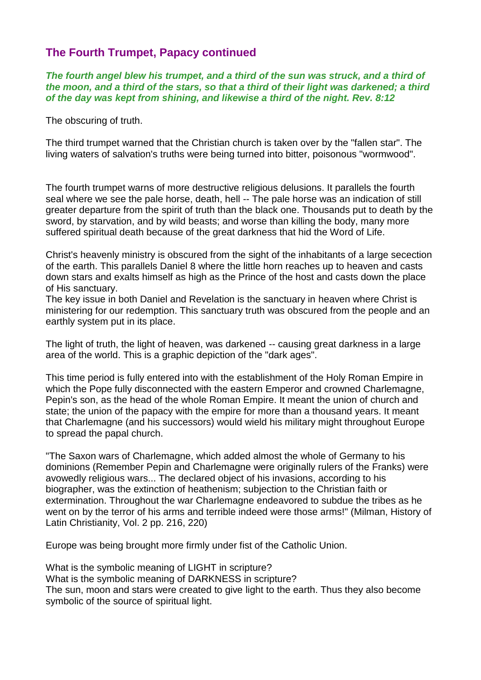# **The Fourth Trumpet, Papacy continued**

*The fourth angel blew his trumpet, and a third of the sun was struck, and a third of the moon, and a third of the stars, so that a third of their light was darkened; a third of the day was kept from shining, and likewise a third of the night. Rev. 8:12*

The obscuring of truth.

The third trumpet warned that the Christian church is taken over by the "fallen star". The living waters of salvation's truths were being turned into bitter, poisonous "wormwood".

The fourth trumpet warns of more destructive religious delusions. It parallels the fourth seal where we see the pale horse, death, hell -- The pale horse was an indication of still greater departure from the spirit of truth than the black one. Thousands put to death by the sword, by starvation, and by wild beasts; and worse than killing the body, many more suffered spiritual death because of the great darkness that hid the Word of Life.

Christ's heavenly ministry is obscured from the sight of the inhabitants of a large secection of the earth. This parallels Daniel 8 where the little horn reaches up to heaven and casts down stars and exalts himself as high as the Prince of the host and casts down the place of His sanctuary.

The key issue in both Daniel and Revelation is the sanctuary in heaven where Christ is ministering for our redemption. This sanctuary truth was obscured from the people and an earthly system put in its place.

The light of truth, the light of heaven, was darkened -- causing great darkness in a large area of the world. This is a graphic depiction of the "dark ages".

This time period is fully entered into with the establishment of the Holy Roman Empire in which the Pope fully disconnected with the eastern Emperor and crowned Charlemagne, Pepin's son, as the head of the whole Roman Empire. It meant the union of church and state; the union of the papacy with the empire for more than a thousand years. It meant that Charlemagne (and his successors) would wield his military might throughout Europe to spread the papal church.

"The Saxon wars of Charlemagne, which added almost the whole of Germany to his dominions (Remember Pepin and Charlemagne were originally rulers of the Franks) were avowedly religious wars... The declared object of his invasions, according to his biographer, was the extinction of heathenism; subjection to the Christian faith or extermination. Throughout the war Charlemagne endeavored to subdue the tribes as he went on by the terror of his arms and terrible indeed were those arms!" (Milman, History of Latin Christianity, Vol. 2 pp. 216, 220)

Europe was being brought more firmly under fist of the Catholic Union.

What is the symbolic meaning of LIGHT in scripture? What is the symbolic meaning of DARKNESS in scripture? The sun, moon and stars were created to give light to the earth. Thus they also become symbolic of the source of spiritual light.